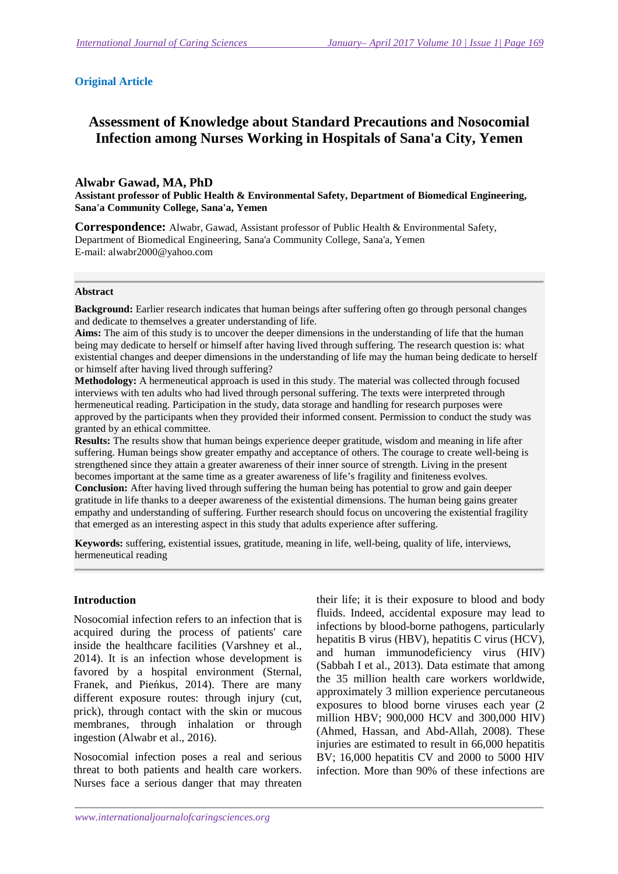### **Original Article**

# **Assessment of Knowledge about Standard Precautions and Nosocomial Infection among Nurses Working in Hospitals of Sana'a City, Yemen**

#### **Alwabr Gawad, MA, PhD**

**Assistant professor of Public Health & Environmental Safety, Department of Biomedical Engineering, Sana'a Community College, Sana'a, Yemen** 

**Correspondence:** Alwabr, Gawad, Assistant professor of Public Health & Environmental Safety, Department of Biomedical Engineering, Sana'a Community College, Sana'a, Yemen E-mail: alwabr2000@yahoo.com

#### **Abstract**

**Background:** Earlier research indicates that human beings after suffering often go through personal changes and dedicate to themselves a greater understanding of life.

**Aims:** The aim of this study is to uncover the deeper dimensions in the understanding of life that the human being may dedicate to herself or himself after having lived through suffering. The research question is: what existential changes and deeper dimensions in the understanding of life may the human being dedicate to herself or himself after having lived through suffering?

**Methodology:** A hermeneutical approach is used in this study. The material was collected through focused interviews with ten adults who had lived through personal suffering. The texts were interpreted through hermeneutical reading. Participation in the study, data storage and handling for research purposes were approved by the participants when they provided their informed consent. Permission to conduct the study was granted by an ethical committee.

**Results:** The results show that human beings experience deeper gratitude, wisdom and meaning in life after suffering. Human beings show greater empathy and acceptance of others. The courage to create well-being is strengthened since they attain a greater awareness of their inner source of strength. Living in the present becomes important at the same time as a greater awareness of life's fragility and finiteness evolves. **Conclusion:** After having lived through suffering the human being has potential to grow and gain deeper gratitude in life thanks to a deeper awareness of the existential dimensions. The human being gains greater empathy and understanding of suffering. Further research should focus on uncovering the existential fragility that emerged as an interesting aspect in this study that adults experience after suffering.

**Keywords:** suffering, existential issues, gratitude, meaning in life, well-being, quality of life, interviews, hermeneutical reading

#### **Introduction**

Nosocomial infection refers to an infection that is acquired during the process of patients' care inside the healthcare facilities (Varshney et al., 2014). It is an infection whose development is favored by a hospital environment (Sternal, Franek, and Pieńkus, 2014). There are many different exposure routes: through injury (cut, prick), through contact with the skin or mucous membranes, through inhalation or through ingestion (Alwabr et al., 2016).

Nosocomial infection poses a real and serious threat to both patients and health care workers. Nurses face a serious danger that may threaten

their life; it is their exposure to blood and body fluids. Indeed, accidental exposure may lead to infections by blood-borne pathogens, particularly hepatitis B virus (HBV), hepatitis C virus (HCV), and human immunodeficiency virus (HIV) (Sabbah I et al., 2013). Data estimate that among the 35 million health care workers worldwide, approximately 3 million experience percutaneous exposures to blood borne viruses each year (2 million HBV; 900,000 HCV and 300,000 HIV) (Ahmed, Hassan, and Abd-Allah, 2008). These injuries are estimated to result in 66,000 hepatitis BV; 16,000 hepatitis CV and 2000 to 5000 HIV infection. More than 90% of these infections are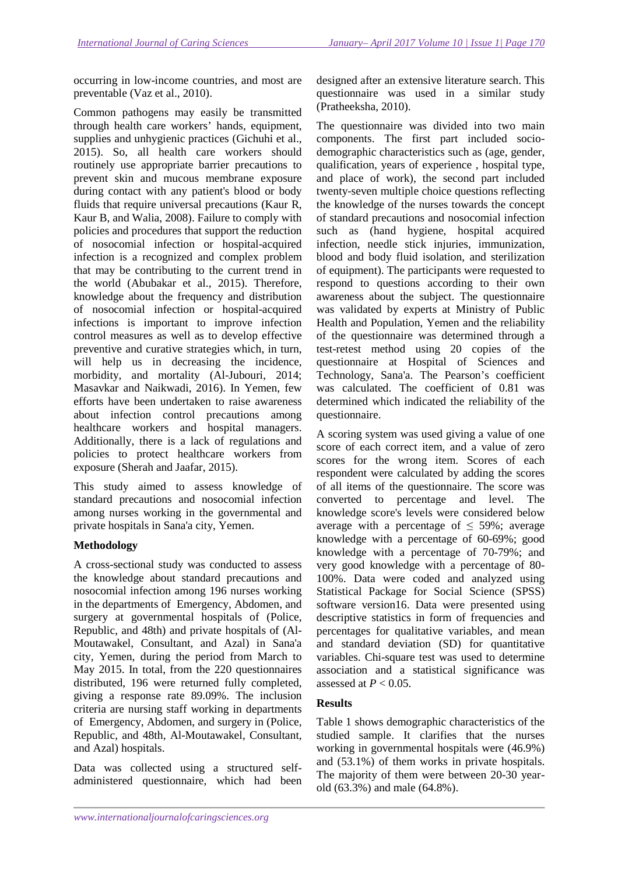occurring in low-income countries, and most are preventable (Vaz et al., 2010).

Common pathogens may easily be transmitted through health care workers' hands, equipment, supplies and unhygienic practices (Gichuhi et al., 2015). So, all health care workers should routinely use appropriate barrier precautions to prevent skin and mucous membrane exposure during contact with any patient's blood or body fluids that require universal precautions (Kaur R, Kaur B, and Walia, 2008). Failure to comply with policies and procedures that support the reduction of nosocomial infection or hospital-acquired infection is a recognized and complex problem that may be contributing to the current trend in the world (Abubakar et al., 2015). Therefore, knowledge about the frequency and distribution of nosocomial infection or hospital-acquired infections is important to improve infection control measures as well as to develop effective preventive and curative strategies which, in turn, will help us in decreasing the incidence, morbidity, and mortality (Al-Jubouri, 2014; Masavkar and Naikwadi, 2016). In Yemen, few efforts have been undertaken to raise awareness about infection control precautions among healthcare workers and hospital managers. Additionally, there is a lack of regulations and policies to protect healthcare workers from exposure (Sherah and Jaafar, 2015).

This study aimed to assess knowledge of standard precautions and nosocomial infection among nurses working in the governmental and private hospitals in Sana'a city, Yemen.

# **Methodology**

A cross-sectional study was conducted to assess the knowledge about standard precautions and nosocomial infection among 196 nurses working in the departments of Emergency, Abdomen, and surgery at governmental hospitals of (Police, Republic, and 48th) and private hospitals of (Al-Moutawakel, Consultant, and Azal) in Sana'a city, Yemen, during the period from March to May 2015. In total, from the 220 questionnaires distributed, 196 were returned fully completed, giving a response rate 89.09%. The inclusion criteria are nursing staff working in departments of Emergency, Abdomen, and surgery in (Police, Republic, and 48th, Al-Moutawakel, Consultant, and Azal) hospitals.

Data was collected using a structured selfadministered questionnaire, which had been

designed after an extensive literature search. This questionnaire was used in a similar study (Pratheeksha, 2010).

The questionnaire was divided into two main components. The first part included sociodemographic characteristics such as (age, gender, qualification, years of experience , hospital type, and place of work), the second part included twenty-seven multiple choice questions reflecting the knowledge of the nurses towards the concept of standard precautions and nosocomial infection such as (hand hygiene, hospital acquired infection, needle stick injuries, immunization, blood and body fluid isolation, and sterilization of equipment). The participants were requested to respond to questions according to their own awareness about the subject. The questionnaire was validated by experts at Ministry of Public Health and Population, Yemen and the reliability of the questionnaire was determined through a test-retest method using 20 copies of the questionnaire at Hospital of Sciences and Technology, Sana'a. The Pearson's coefficient was calculated. The coefficient of 0.81 was determined which indicated the reliability of the questionnaire.

A scoring system was used giving a value of one score of each correct item, and a value of zero scores for the wrong item. Scores of each respondent were calculated by adding the scores of all items of the questionnaire. The score was converted to percentage and level. The knowledge score's levels were considered below average with a percentage of  $\leq$  59%; average knowledge with a percentage of 60-69%; good knowledge with a percentage of 70-79%; and very good knowledge with a percentage of 80- 100%. Data were coded and analyzed using Statistical Package for Social Science (SPSS) software version16. Data were presented using descriptive statistics in form of frequencies and percentages for qualitative variables, and mean and standard deviation (SD) for quantitative variables. Chi-square test was used to determine association and a statistical significance was assessed at  $P < 0.05$ .

# **Results**

Table 1 shows demographic characteristics of the studied sample. It clarifies that the nurses working in governmental hospitals were (46.9%) and (53.1%) of them works in private hospitals. The majority of them were between 20-30 yearold (63.3%) and male (64.8%).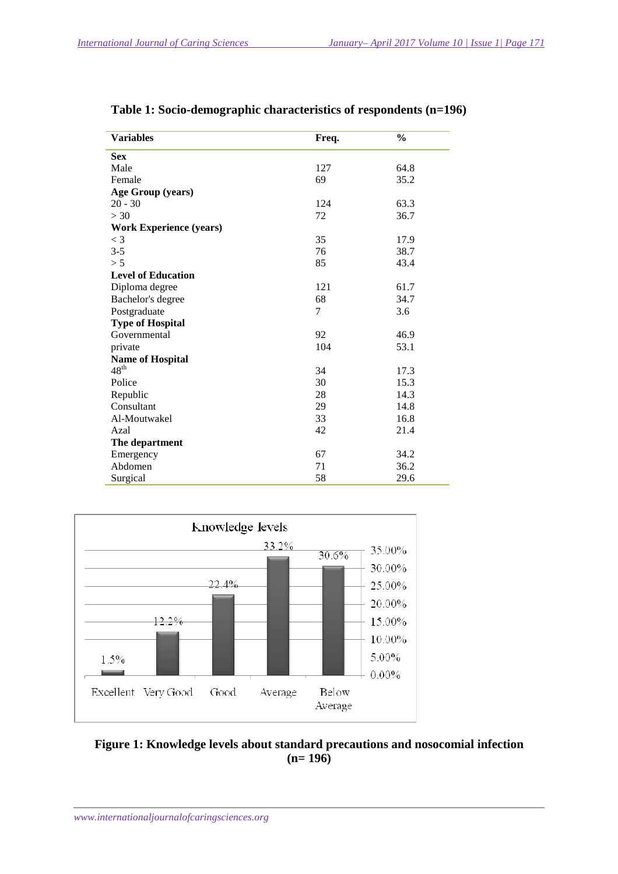| <b>Variables</b>               | Freq. | $\frac{0}{0}$ |
|--------------------------------|-------|---------------|
| <b>Sex</b>                     |       |               |
| Male                           | 127   | 64.8          |
| Female                         | 69    | 35.2          |
| Age Group (years)              |       |               |
| $20 - 30$                      | 124   | 63.3          |
| >30                            | 72    | 36.7          |
| <b>Work Experience (years)</b> |       |               |
| $\leq$ 3                       | 35    | 17.9          |
| $3 - 5$                        | 76    | 38.7          |
| > 5                            | 85    | 43.4          |
| <b>Level of Education</b>      |       |               |
| Diploma degree                 | 121   | 61.7          |
| Bachelor's degree              | 68    | 34.7          |
| Postgraduate                   | 7     | 3.6           |
| <b>Type of Hospital</b>        |       |               |
| Governmental                   | 92    | 46.9          |
| private                        | 104   | 53.1          |
| <b>Name of Hospital</b>        |       |               |
| $48^{\text{th}}$               | 34    | 17.3          |
| Police                         | 30    | 15.3          |
| Republic                       | 28    | 14.3          |
| Consultant                     | 29    | 14.8          |
| Al-Moutwakel                   | 33    | 16.8          |
| Azal                           | 42    | 21.4          |
| The department                 |       |               |
| Emergency                      | 67    | 34.2          |
| Abdomen                        | 71    | 36.2          |
| Surgical                       | 58    | 29.6          |

**Table 1: Socio-demographic characteristics of respondents (n=196)** 



**Figure 1: Knowledge levels about standard precautions and nosocomial infection (n= 196)**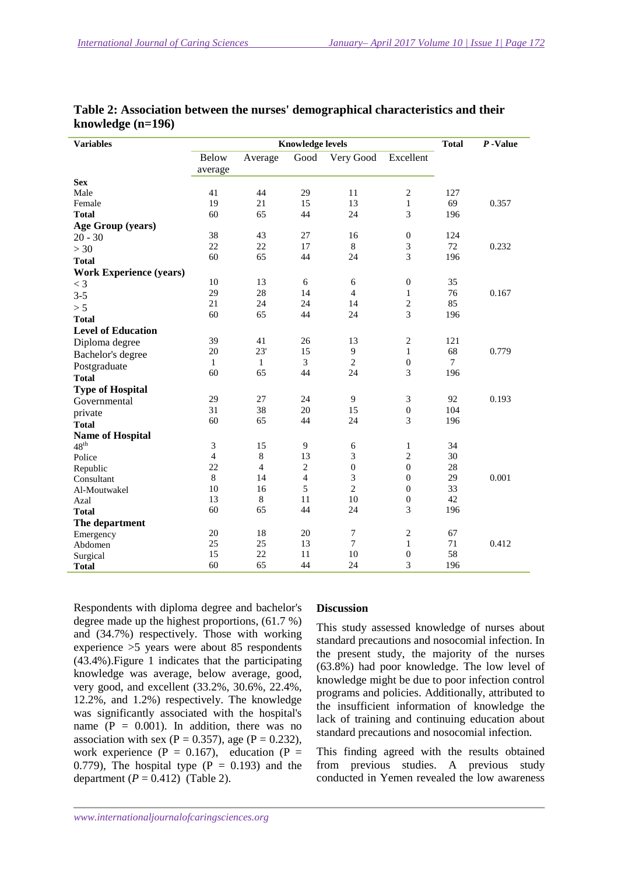| <b>Variables</b>               | <b>Knowledge levels</b> |                |                |                  |                             |                | $P$ -Value |
|--------------------------------|-------------------------|----------------|----------------|------------------|-----------------------------|----------------|------------|
|                                | <b>Below</b>            | Average        | Good           | Very Good        | Excellent                   |                |            |
|                                | average                 |                |                |                  |                             |                |            |
| <b>Sex</b>                     |                         |                |                |                  |                             |                |            |
| Male                           | 41                      | 44             | 29             | 11               | $\sqrt{2}$                  | 127            |            |
| Female                         | 19                      | 21             | 15             | 13               | $\mathbf{1}$                | 69             | 0.357      |
| <b>Total</b>                   | 60                      | 65             | 44             | 24               | 3                           | 196            |            |
| Age Group (years)              |                         |                |                |                  |                             |                |            |
| $20 - 30$                      | 38                      | 43             | 27             | 16               | $\boldsymbol{0}$            | 124            |            |
| >30                            | 22                      | 22             | 17             | $\,8\,$          | 3                           | 72             | 0.232      |
| <b>Total</b>                   | 60                      | 65             | 44             | 24               | 3                           | 196            |            |
| <b>Work Experience (years)</b> |                         |                |                |                  |                             |                |            |
| $<$ 3                          | 10                      | 13             | 6              | 6                | $\boldsymbol{0}$            | 35             |            |
| $3 - 5$                        | 29                      | 28             | 14             | $\overline{4}$   | $\mathbf{1}$                | 76             | 0.167      |
| > 5                            | 21                      | 24             | 24             | 14               | $\sqrt{2}$                  | 85             |            |
| <b>Total</b>                   | 60                      | 65             | 44             | 24               | 3                           | 196            |            |
| <b>Level of Education</b>      |                         |                |                |                  |                             |                |            |
| Diploma degree                 | 39                      | 41             | 26             | 13               | $\sqrt{2}$                  | 121            |            |
| Bachelor's degree              | 20                      | 23'            | 15             | $\overline{9}$   | $\mathbf{1}$                | 68             | 0.779      |
| Postgraduate                   | $\mathbf{1}$            | $\mathbf{1}$   | 3              | $\overline{c}$   | $\boldsymbol{0}$            | $\overline{7}$ |            |
| <b>Total</b>                   | 60                      | 65             | 44             | 24               | 3                           | 196            |            |
| <b>Type of Hospital</b>        |                         |                |                |                  |                             |                |            |
| Governmental                   | 29                      | 27             | 24             | 9                | $\ensuremath{\mathfrak{Z}}$ | 92             | 0.193      |
| private                        | 31                      | 38             | 20             | 15               | $\boldsymbol{0}$            | 104            |            |
| <b>Total</b>                   | 60                      | 65             | 44             | 24               | 3                           | 196            |            |
| <b>Name of Hospital</b>        |                         |                |                |                  |                             |                |            |
| $48^{\text{th}}$               | 3                       | 15             | 9              | 6                | $\mathbf{1}$                | 34             |            |
| Police                         | $\overline{4}$          | 8              | 13             | 3                | $\overline{c}$              | 30             |            |
| Republic                       | 22                      | $\overline{4}$ | $\overline{c}$ | $\boldsymbol{0}$ | $\boldsymbol{0}$            | 28             |            |
| Consultant                     | 8                       | 14             | $\overline{4}$ | 3                | $\mathbf{0}$                | 29             | 0.001      |
| Al-Moutwakel                   | 10                      | 16             | 5              | $\overline{c}$   | $\mathbf{0}$                | 33             |            |
| Azal                           | 13                      | $\,8\,$        | 11             | 10               | $\boldsymbol{0}$            | 42             |            |
| <b>Total</b>                   | 60                      | 65             | 44             | 24               | 3                           | 196            |            |
| The department                 |                         |                |                |                  |                             |                |            |
| Emergency                      | 20                      | 18             | 20             | 7                | $\sqrt{2}$                  | 67             |            |
| Abdomen                        | 25                      | 25             | 13             | $\tau$           | $\mathbf{1}$                | 71             | 0.412      |
| Surgical                       | 15                      | 22             | 11             | 10               | $\boldsymbol{0}$            | 58             |            |
| <b>Total</b>                   | 60                      | 65             | 44             | 24               | 3                           | 196            |            |

|                     | Table 2: Association between the nurses' demographical characteristics and their |
|---------------------|----------------------------------------------------------------------------------|
| knowledge $(n=196)$ |                                                                                  |

Respondents with diploma degree and bachelor's degree made up the highest proportions, (61.7 %) and (34.7%) respectively. Those with working experience >5 years were about 85 respondents (43.4%).Figure 1 indicates that the participating knowledge was average, below average, good, very good, and excellent (33.2%, 30.6%, 22.4%, 12.2%, and 1.2%) respectively. The knowledge was significantly associated with the hospital's name  $(P = 0.001)$ . In addition, there was no association with sex (P = 0.357), age (P = 0.232), work experience ( $P = 0.167$ ), education ( $P =$ 0.779), The hospital type  $(P = 0.193)$  and the department  $(P = 0.412)$  (Table 2).

#### **Discussion**

This study assessed knowledge of nurses about standard precautions and nosocomial infection. In the present study, the majority of the nurses (63.8%) had poor knowledge. The low level of knowledge might be due to poor infection control programs and policies. Additionally, attributed to the insufficient information of knowledge the lack of training and continuing education about standard precautions and nosocomial infection.

This finding agreed with the results obtained from previous studies. A previous study conducted in Yemen revealed the low awareness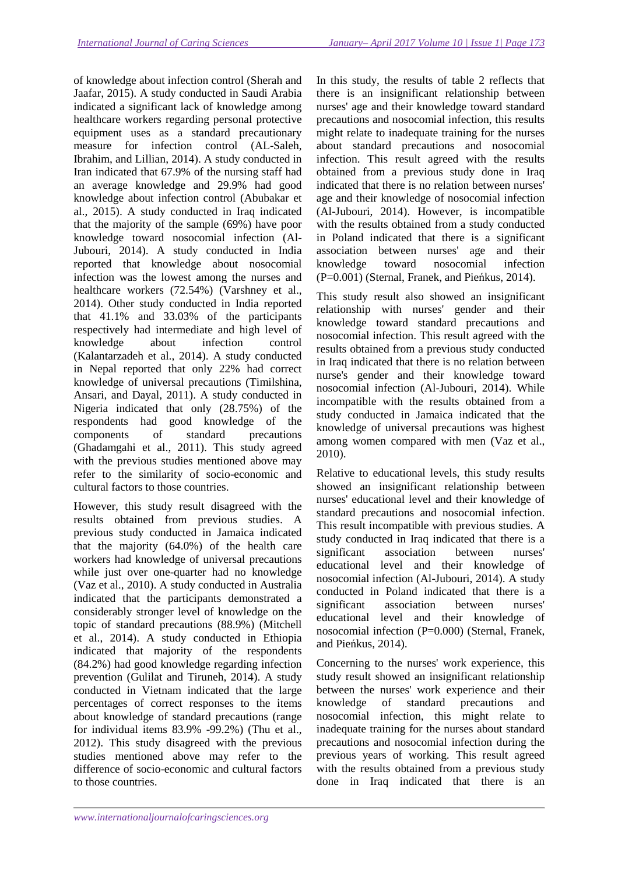of knowledge about infection control (Sherah and Jaafar, 2015). A study conducted in Saudi Arabia indicated a significant lack of knowledge among healthcare workers regarding personal protective equipment uses as a standard precautionary measure for infection control (AL-Saleh, Ibrahim, and Lillian, 2014). A study conducted in Iran indicated that 67.9% of the nursing staff had an average knowledge and 29.9% had good knowledge about infection control (Abubakar et al., 2015). A study conducted in Iraq indicated that the majority of the sample (69%) have poor knowledge toward nosocomial infection (Al-Jubouri, 2014). A study conducted in India reported that knowledge about nosocomial infection was the lowest among the nurses and healthcare workers (72.54%) (Varshney et al., 2014). Other study conducted in India reported that 41.1% and 33.03% of the participants respectively had intermediate and high level of knowledge about infection control (Kalantarzadeh et al., 2014). A study conducted in Nepal reported that only 22% had correct knowledge of universal precautions (Timilshina, Ansari, and Dayal, 2011). A study conducted in Nigeria indicated that only (28.75%) of the respondents had good knowledge of the components of standard precautions (Ghadamgahi et al., 2011). This study agreed with the previous studies mentioned above may refer to the similarity of socio-economic and cultural factors to those countries.

However, this study result disagreed with the results obtained from previous studies. A previous study conducted in Jamaica indicated that the majority (64.0%) of the health care workers had knowledge of universal precautions while just over one-quarter had no knowledge (Vaz et al., 2010). A study conducted in Australia indicated that the participants demonstrated a considerably stronger level of knowledge on the topic of standard precautions (88.9%) (Mitchell et al., 2014). A study conducted in Ethiopia indicated that majority of the respondents (84.2%) had good knowledge regarding infection prevention (Gulilat and Tiruneh, 2014). A study conducted in Vietnam indicated that the large percentages of correct responses to the items about knowledge of standard precautions (range for individual items 83.9% -99.2%) (Thu et al., 2012). This study disagreed with the previous studies mentioned above may refer to the difference of socio-economic and cultural factors to those countries.

In this study, the results of table 2 reflects that there is an insignificant relationship between nurses' age and their knowledge toward standard precautions and nosocomial infection, this results might relate to inadequate training for the nurses about standard precautions and nosocomial infection. This result agreed with the results obtained from a previous study done in Iraq indicated that there is no relation between nurses' age and their knowledge of nosocomial infection (Al-Jubouri, 2014). However, is incompatible with the results obtained from a study conducted in Poland indicated that there is a significant association between nurses' age and their knowledge toward nosocomial infection (P=0.001) (Sternal, Franek, and Pieńkus, 2014).

This study result also showed an insignificant relationship with nurses' gender and their knowledge toward standard precautions and nosocomial infection. This result agreed with the results obtained from a previous study conducted in Iraq indicated that there is no relation between nurse's gender and their knowledge toward nosocomial infection (Al-Jubouri, 2014). While incompatible with the results obtained from a study conducted in Jamaica indicated that the knowledge of universal precautions was highest among women compared with men (Vaz et al., 2010).

Relative to educational levels, this study results showed an insignificant relationship between nurses' educational level and their knowledge of standard precautions and nosocomial infection. This result incompatible with previous studies. A study conducted in Iraq indicated that there is a significant association between nurses' educational level and their knowledge of nosocomial infection (Al-Jubouri, 2014). A study conducted in Poland indicated that there is a significant association between nurses' educational level and their knowledge of nosocomial infection (P=0.000) (Sternal, Franek, and Pieńkus, 2014).

Concerning to the nurses' work experience, this study result showed an insignificant relationship between the nurses' work experience and their knowledge of standard precautions and nosocomial infection, this might relate to inadequate training for the nurses about standard precautions and nosocomial infection during the previous years of working. This result agreed with the results obtained from a previous study done in Iraq indicated that there is an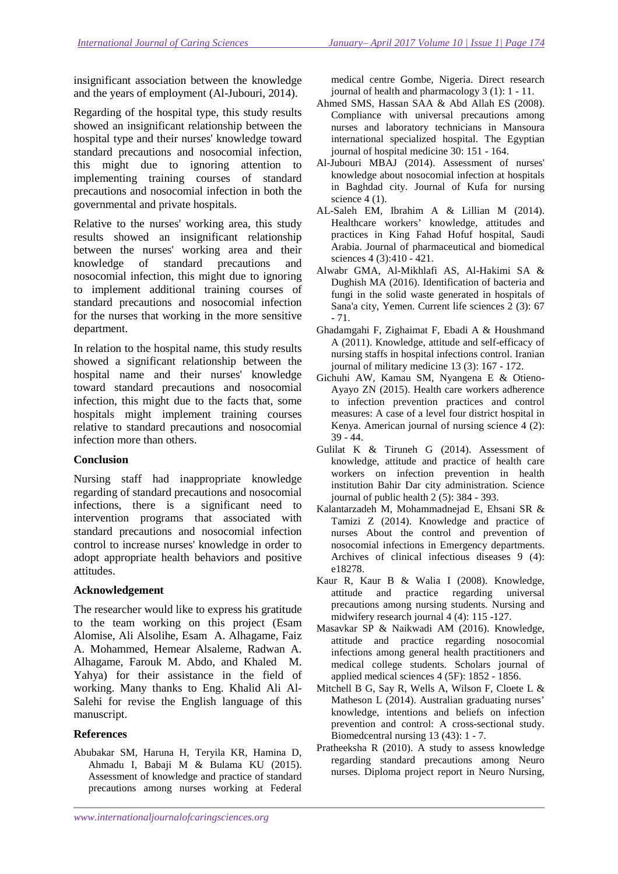insignificant association between the knowledge and the years of employment (Al-Jubouri, 2014).

Regarding of the hospital type, this study results showed an insignificant relationship between the hospital type and their nurses' knowledge toward standard precautions and nosocomial infection, this might due to ignoring attention to implementing training courses of standard precautions and nosocomial infection in both the governmental and private hospitals.

Relative to the nurses' working area, this study results showed an insignificant relationship between the nurses' working area and their knowledge of standard precautions and nosocomial infection, this might due to ignoring to implement additional training courses of standard precautions and nosocomial infection for the nurses that working in the more sensitive department.

In relation to the hospital name, this study results showed a significant relationship between the hospital name and their nurses' knowledge toward standard precautions and nosocomial infection, this might due to the facts that, some hospitals might implement training courses relative to standard precautions and nosocomial infection more than others.

### **Conclusion**

Nursing staff had inappropriate knowledge regarding of standard precautions and nosocomial infections, there is a significant need to intervention programs that associated with standard precautions and nosocomial infection control to increase nurses' knowledge in order to adopt appropriate health behaviors and positive attitudes.

# **Acknowledgement**

The researcher would like to express his gratitude to the team working on this project (Esam Alomise, Ali Alsolihe, Esam A. Alhagame, Faiz A. Mohammed, Hemear Alsaleme, Radwan A. Alhagame, Farouk M. Abdo, and Khaled M. Yahya) for their assistance in the field of working. Many thanks to Eng. Khalid Ali Al-Salehi for revise the English language of this manuscript.

# **References**

Abubakar SM, Haruna H, Teryila KR, Hamina D, Ahmadu I, Babaji M & Bulama KU (2015). Assessment of knowledge and practice of standard precautions among nurses working at Federal

medical centre Gombe, Nigeria. Direct research journal of health and pharmacology 3 (1): 1 - 11.

- Ahmed SMS, Hassan SAA & Abd Allah ES (2008). Compliance with universal precautions among nurses and laboratory technicians in Mansoura international specialized hospital. The Egyptian journal of hospital medicine 30: 151 - 164.
- Al-Jubouri MBAJ (2014). Assessment of nurses' knowledge about nosocomial infection at hospitals in Baghdad city. Journal of Kufa for nursing science 4 (1).
- AL-Saleh EM, Ibrahim A & Lillian M (2014). Healthcare workers' knowledge, attitudes and practices in King Fahad Hofuf hospital, Saudi Arabia. Journal of pharmaceutical and biomedical sciences 4 (3):410 - 421.
- Alwabr GMA, Al-Mikhlafi AS, Al-Hakimi SA & Dughish MA (2016). Identification of bacteria and fungi in the solid waste generated in hospitals of Sana'a city, Yemen. Current life sciences 2 (3): 67 - 71.
- Ghadamgahi F, Zighaimat F, Ebadi A & Houshmand A (2011). Knowledge, attitude and self-efficacy of nursing staffs in hospital infections control. Iranian journal of military medicine 13 (3): 167 - 172.
- Gichuhi AW, Kamau SM, Nyangena E & Otieno-Ayayo ZN (2015). Health care workers adherence to infection prevention practices and control measures: A case of a level four district hospital in Kenya. American journal of nursing science 4 (2): 39 - 44.
- Gulilat K & Tiruneh G (2014). Assessment of knowledge, attitude and practice of health care workers on infection prevention in health institution Bahir Dar city administration. Science journal of public health  $2(5)$ : 384 - 393.
- Kalantarzadeh M, Mohammadnejad E, Ehsani SR & Tamizi Z (2014). Knowledge and practice of nurses About the control and prevention of nosocomial infections in Emergency departments. Archives of clinical infectious diseases 9 (4): e18278.
- Kaur R, Kaur B & Walia I (2008). Knowledge, attitude and practice regarding universal precautions among nursing students. Nursing and midwifery research journal 4 (4): 115 -127.
- Masavkar SP & Naikwadi AM (2016). Knowledge, attitude and practice regarding nosocomial infections among general health practitioners and medical college students. Scholars journal of applied medical sciences 4 (5F): 1852 - 1856.
- Mitchell B G, Say R, Wells A, Wilson F, Cloete L & Matheson L (2014). Australian graduating nurses' knowledge, intentions and beliefs on infection prevention and control: A cross-sectional study. Biomedcentral nursing 13 (43): 1 - 7.
- Pratheeksha R (2010). A study to assess knowledge regarding standard precautions among Neuro nurses. Diploma project report in Neuro Nursing,